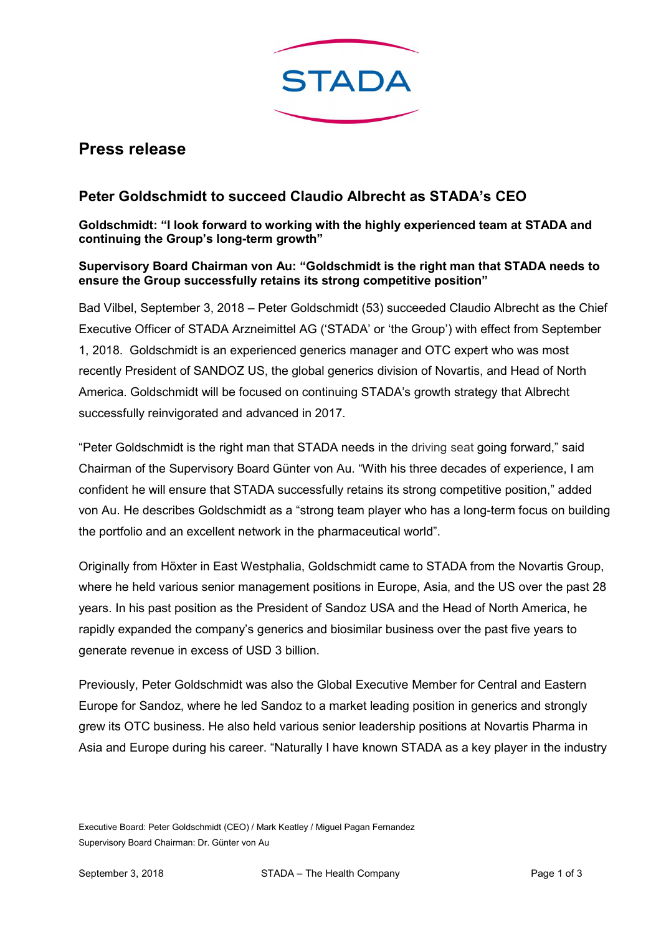

## Press release

## Peter Goldschmidt to succeed Claudio Albrecht as STADA's CEO

Goldschmidt: "I look forward to working with the highly experienced team at STADA and continuing the Group's long-term growth"

## Supervisory Board Chairman von Au: "Goldschmidt is the right man that STADA needs to ensure the Group successfully retains its strong competitive position"

Bad Vilbel, September 3, 2018 – Peter Goldschmidt (53) succeeded Claudio Albrecht as the Chief Executive Officer of STADA Arzneimittel AG ('STADA' or 'the Group') with effect from September 1, 2018. Goldschmidt is an experienced generics manager and OTC expert who was most recently President of SANDOZ US, the global generics division of Novartis, and Head of North America. Goldschmidt will be focused on continuing STADA's growth strategy that Albrecht successfully reinvigorated and advanced in 2017.

"Peter Goldschmidt is the right man that STADA needs in the driving seat going forward," said Chairman of the Supervisory Board Günter von Au. "With his three decades of experience, I am confident he will ensure that STADA successfully retains its strong competitive position," added von Au. He describes Goldschmidt as a "strong team player who has a long-term focus on building the portfolio and an excellent network in the pharmaceutical world".

Originally from Höxter in East Westphalia, Goldschmidt came to STADA from the Novartis Group, where he held various senior management positions in Europe, Asia, and the US over the past 28 years. In his past position as the President of Sandoz USA and the Head of North America, he rapidly expanded the company's generics and biosimilar business over the past five years to generate revenue in excess of USD 3 billion.

Previously, Peter Goldschmidt was also the Global Executive Member for Central and Eastern Europe for Sandoz, where he led Sandoz to a market leading position in generics and strongly grew its OTC business. He also held various senior leadership positions at Novartis Pharma in Asia and Europe during his career. "Naturally I have known STADA as a key player in the industry

Executive Board: Peter Goldschmidt (CEO) / Mark Keatley / Miguel Pagan Fernandez Supervisory Board Chairman: Dr. Günter von Au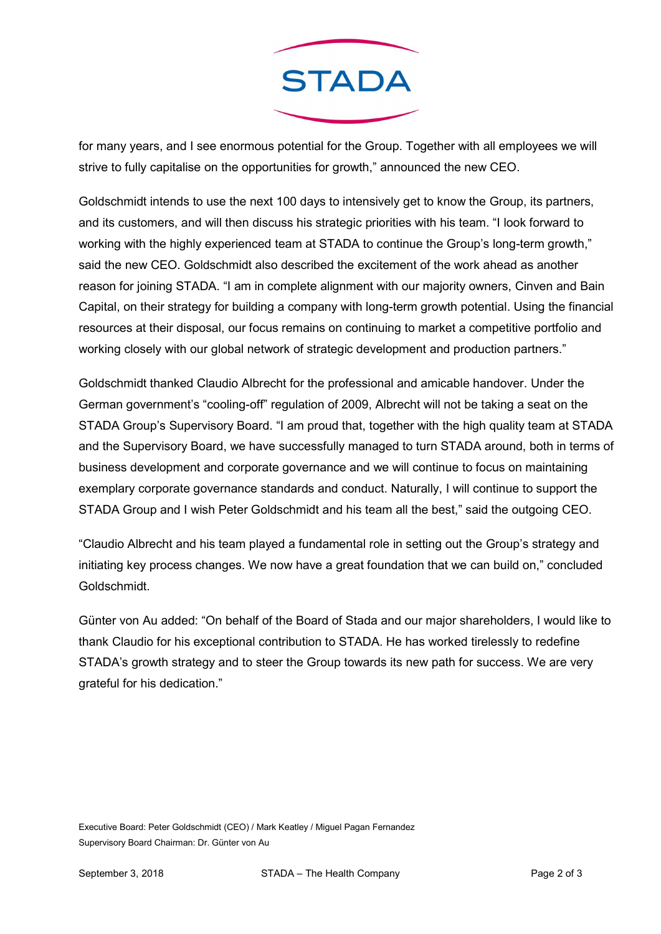

for many years, and I see enormous potential for the Group. Together with all employees we will strive to fully capitalise on the opportunities for growth," announced the new CEO.

Goldschmidt intends to use the next 100 days to intensively get to know the Group, its partners, and its customers, and will then discuss his strategic priorities with his team. "I look forward to working with the highly experienced team at STADA to continue the Group's long-term growth," said the new CEO. Goldschmidt also described the excitement of the work ahead as another reason for joining STADA. "I am in complete alignment with our majority owners, Cinven and Bain Capital, on their strategy for building a company with long-term growth potential. Using the financial resources at their disposal, our focus remains on continuing to market a competitive portfolio and working closely with our global network of strategic development and production partners."

Goldschmidt thanked Claudio Albrecht for the professional and amicable handover. Under the German government's "cooling-off" regulation of 2009, Albrecht will not be taking a seat on the STADA Group's Supervisory Board. "I am proud that, together with the high quality team at STADA and the Supervisory Board, we have successfully managed to turn STADA around, both in terms of business development and corporate governance and we will continue to focus on maintaining exemplary corporate governance standards and conduct. Naturally, I will continue to support the STADA Group and I wish Peter Goldschmidt and his team all the best," said the outgoing CEO.

"Claudio Albrecht and his team played a fundamental role in setting out the Group's strategy and initiating key process changes. We now have a great foundation that we can build on," concluded Goldschmidt.

Günter von Au added: "On behalf of the Board of Stada and our major shareholders, I would like to thank Claudio for his exceptional contribution to STADA. He has worked tirelessly to redefine STADA's growth strategy and to steer the Group towards its new path for success. We are very grateful for his dedication."

Executive Board: Peter Goldschmidt (CEO) / Mark Keatley / Miguel Pagan Fernandez Supervisory Board Chairman: Dr. Günter von Au